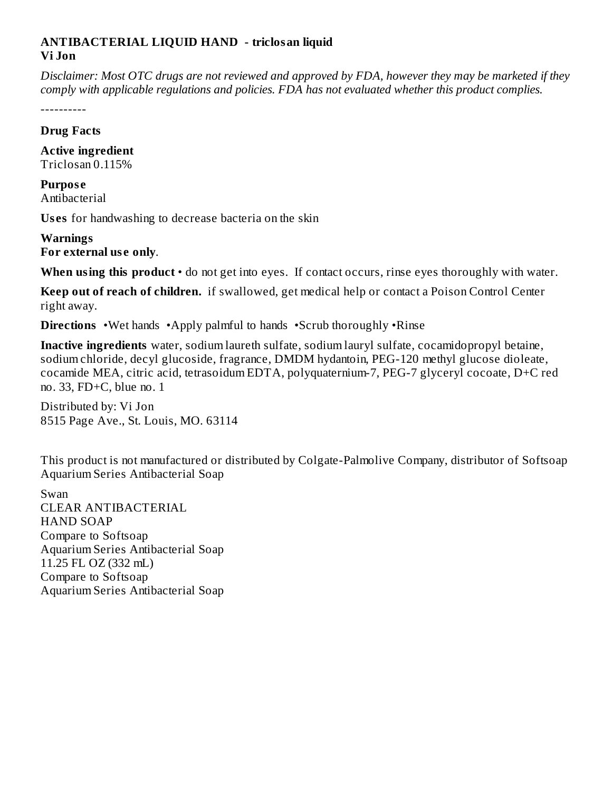## **ANTIBACTERIAL LIQUID HAND - triclosan liquid Vi Jon**

Disclaimer: Most OTC drugs are not reviewed and approved by FDA, however they may be marketed if they *comply with applicable regulations and policies. FDA has not evaluated whether this product complies.*

----------

## **Drug Facts**

**Active ingredient** Triclosan 0.115%

**Purpos e** Antibacterial

**Us es** for handwashing to decrease bacteria on the skin

## **Warnings For external us e only**.

**When using this product** • do not get into eyes. If contact occurs, rinse eyes thoroughly with water.

**Keep out of reach of children.** if swallowed, get medical help or contact a Poison Control Center right away.

**Directions** •Wet hands •Apply palmful to hands •Scrub thoroughly •Rinse

**Inactive ingredients** water, sodium laureth sulfate, sodium lauryl sulfate, cocamidopropyl betaine, sodium chloride, decyl glucoside, fragrance, DMDM hydantoin, PEG-120 methyl glucose dioleate, cocamide MEA, citric acid, tetrasoidum EDTA, polyquaternium-7, PEG-7 glyceryl cocoate, D+C red no. 33, FD+C, blue no. 1

Distributed by: Vi Jon 8515 Page Ave., St. Louis, MO. 63114

This product is not manufactured or distributed by Colgate-Palmolive Company, distributor of Softsoap Aquarium Series Antibacterial Soap

Swan CLEAR ANTIBACTERIAL HAND SOAP Compare to Softsoap Aquarium Series Antibacterial Soap 11.25 FL OZ (332 mL) Compare to Softsoap Aquarium Series Antibacterial Soap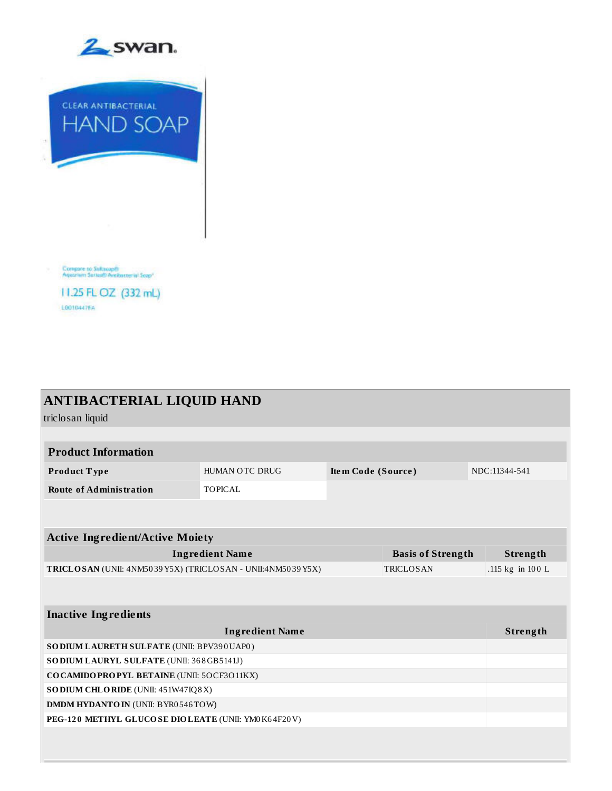



| 11.25 FL OZ (332 mL) |  |
|----------------------|--|
| <b>LOO10447FA</b>    |  |

| <b>ANTIBACTERIAL LIQUID HAND</b><br>triclosan liquid                           |                                                                                                                |                          |                    |                  |  |
|--------------------------------------------------------------------------------|----------------------------------------------------------------------------------------------------------------|--------------------------|--------------------|------------------|--|
|                                                                                |                                                                                                                |                          |                    |                  |  |
|                                                                                |                                                                                                                |                          |                    |                  |  |
| HUMAN OTC DRUG                                                                 |                                                                                                                |                          |                    | NDC:11344-541    |  |
| <b>TOPICAL</b>                                                                 |                                                                                                                |                          |                    |                  |  |
|                                                                                |                                                                                                                |                          |                    |                  |  |
|                                                                                |                                                                                                                |                          |                    |                  |  |
|                                                                                |                                                                                                                |                          |                    |                  |  |
|                                                                                |                                                                                                                | <b>Basis of Strength</b> |                    | Strength         |  |
| TRICLOSAN (UNII: 4NM5039Y5X) (TRICLOSAN - UNII:4NM5039Y5X)<br><b>TRICLOSAN</b> |                                                                                                                |                          |                    | .115 kg in 100 L |  |
|                                                                                |                                                                                                                |                          |                    |                  |  |
|                                                                                |                                                                                                                |                          |                    |                  |  |
| <b>Ingredient Name</b>                                                         |                                                                                                                |                          |                    | Strength         |  |
|                                                                                |                                                                                                                |                          |                    |                  |  |
| SO DIUM LAURYL SULFATE (UNII: 368GB5141J)                                      |                                                                                                                |                          |                    |                  |  |
| COCAMIDOPROPYL BETAINE (UNII: 5OCF3011KX)                                      |                                                                                                                |                          |                    |                  |  |
| SODIUM CHLORIDE (UNII: 451W47IQ8X)                                             |                                                                                                                |                          |                    |                  |  |
| <b>DMDM HYDANTO IN (UNII: BYR0546TOW)</b>                                      |                                                                                                                |                          |                    |                  |  |
| PEG-120 METHYL GLUCOSE DIOLEATE (UNII: YM0K64F20V)                             |                                                                                                                |                          |                    |                  |  |
|                                                                                |                                                                                                                |                          |                    |                  |  |
|                                                                                |                                                                                                                |                          |                    |                  |  |
|                                                                                | <b>Active Ingredient/Active Moiety</b><br><b>Ingredient Name</b><br>SO DIUM LAURETH SULFATE (UNII: BPV390UAP0) |                          | Item Code (Source) |                  |  |